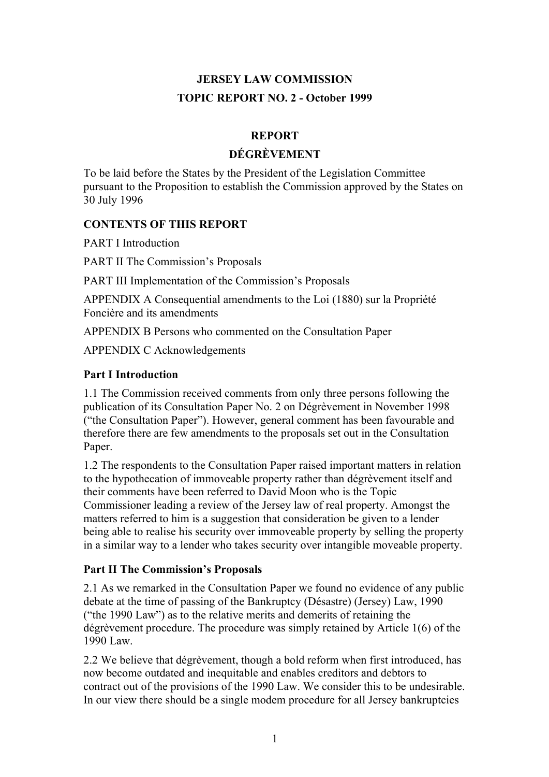# **JERSEY LAW COMMISSION TOPIC REPORT NO. 2 - October 1999**

# **REPORT**

#### **DÉGRÈVEMENT**

To be laid before the States by the President of the Legislation Committee pursuant to the Proposition to establish the Commission approved by the States on 30 July 1996

### **CONTENTS OF THIS REPORT**

PART I Introduction

PART II The Commission's Proposals

PART III Implementation of the Commission's Proposals

APPENDIX A Consequential amendments to the Loi (1880) sur la Propriété Foncière and its amendments

APPENDIX B Persons who commented on the Consultation Paper

APPENDIX C Acknowledgements

# **Part I Introduction**

1.1 The Commission received comments from only three persons following the publication of its Consultation Paper No. 2 on Dégrèvement in November 1998 ("the Consultation Paper"). However, general comment has been favourable and therefore there are few amendments to the proposals set out in the Consultation Paper.

1.2 The respondents to the Consultation Paper raised important matters in relation to the hypothecation of immoveable property rather than dégrèvement itself and their comments have been referred to David Moon who is the Topic Commissioner leading a review of the Jersey law of real property. Amongst the matters referred to him is a suggestion that consideration be given to a lender being able to realise his security over immoveable property by selling the property in a similar way to a lender who takes security over intangible moveable property.

#### **Part II The Commission's Proposals**

2.1 As we remarked in the Consultation Paper we found no evidence of any public debate at the time of passing of the Bankruptcy (Désastre) (Jersey) Law, 1990 ("the 1990 Law") as to the relative merits and demerits of retaining the dégrèvement procedure. The procedure was simply retained by Article 1(6) of the 1990 Law.

2.2 We believe that dégrèvement, though a bold reform when first introduced, has now become outdated and inequitable and enables creditors and debtors to contract out of the provisions of the 1990 Law. We consider this to be undesirable. In our view there should be a single modem procedure for all Jersey bankruptcies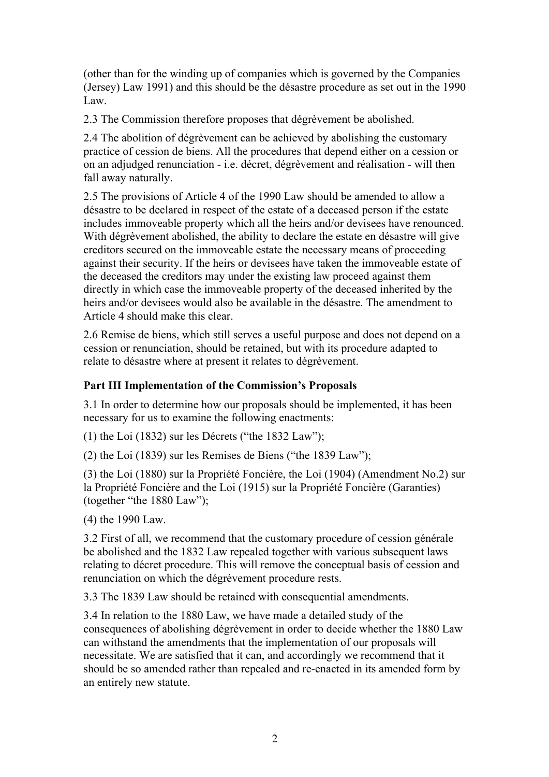(other than for the winding up of companies which is governed by the Companies (Jersey) Law 1991) and this should be the désastre procedure as set out in the 1990 Law.

2.3 The Commission therefore proposes that dégrèvement be abolished.

2.4 The abolition of dégrèvement can be achieved by abolishing the customary practice of cession de biens. All the procedures that depend either on a cession or on an adjudged renunciation - i.e. décret, dégrèvement and réalisation - will then fall away naturally.

2.5 The provisions of Article 4 of the 1990 Law should be amended to allow a désastre to be declared in respect of the estate of a deceased person if the estate includes immoveable property which all the heirs and/or devisees have renounced. With dégrèvement abolished, the ability to declare the estate en désastre will give creditors secured on the immoveable estate the necessary means of proceeding against their security. If the heirs or devisees have taken the immoveable estate of the deceased the creditors may under the existing law proceed against them directly in which case the immoveable property of the deceased inherited by the heirs and/or devisees would also be available in the désastre. The amendment to Article 4 should make this clear.

2.6 Remise de biens, which still serves a useful purpose and does not depend on a cession or renunciation, should be retained, but with its procedure adapted to relate to désastre where at present it relates to dégrèvement.

# **Part III Implementation of the Commission's Proposals**

3.1 In order to determine how our proposals should be implemented, it has been necessary for us to examine the following enactments:

(1) the Loi (1832) sur les Décrets ("the 1832 Law");

(2) the Loi (1839) sur les Remises de Biens ("the 1839 Law");

(3) the Loi (1880) sur la Propriété Foncière, the Loi (1904) (Amendment No.2) sur la Propriété Foncière and the Loi (1915) sur la Propriété Foncière (Garanties) (together "the 1880 Law");

(4) the 1990 Law.

3.2 First of all, we recommend that the customary procedure of cession générale be abolished and the 1832 Law repealed together with various subsequent laws relating to décret procedure. This will remove the conceptual basis of cession and renunciation on which the dégrèvement procedure rests.

3.3 The 1839 Law should be retained with consequential amendments.

3.4 In relation to the 1880 Law, we have made a detailed study of the consequences of abolishing dégrèvement in order to decide whether the 1880 Law can withstand the amendments that the implementation of our proposals will necessitate. We are satisfied that it can, and accordingly we recommend that it should be so amended rather than repealed and re-enacted in its amended form by an entirely new statute.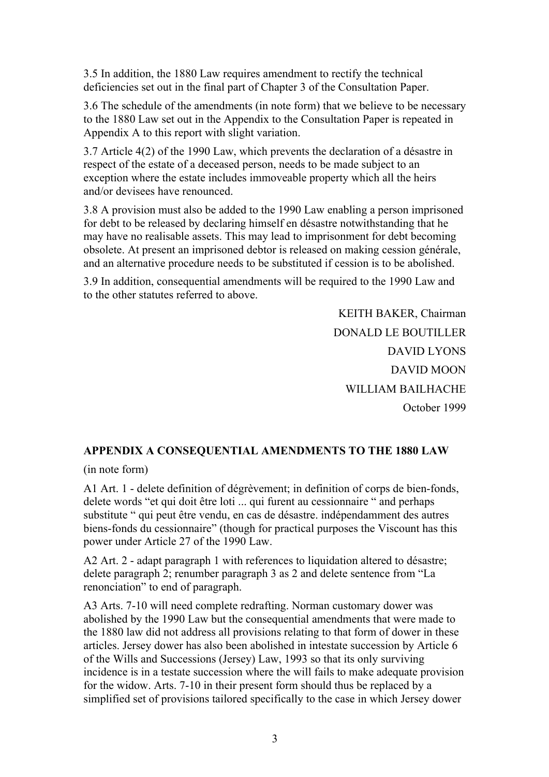3.5 In addition, the 1880 Law requires amendment to rectify the technical deficiencies set out in the final part of Chapter 3 of the Consultation Paper.

3.6 The schedule of the amendments (in note form) that we believe to be necessary to the 1880 Law set out in the Appendix to the Consultation Paper is repeated in Appendix A to this report with slight variation.

3.7 Article 4(2) of the 1990 Law, which prevents the declaration of a désastre in respect of the estate of a deceased person, needs to be made subject to an exception where the estate includes immoveable property which all the heirs and/or devisees have renounced.

3.8 A provision must also be added to the 1990 Law enabling a person imprisoned for debt to be released by declaring himself en désastre notwithstanding that he may have no realisable assets. This may lead to imprisonment for debt becoming obsolete. At present an imprisoned debtor is released on making cession générale, and an alternative procedure needs to be substituted if cession is to be abolished.

3.9 In addition, consequential amendments will be required to the 1990 Law and to the other statutes referred to above.

> KEITH BAKER, Chairman DONALD LE BOUTILLER DAVID LYONS DAVID MOON WILLIAM BAILHACHE October 1999

#### **APPENDIX A CONSEQUENTIAL AMENDMENTS TO THE 1880 LAW**

(in note form)

A1 Art. 1 - delete definition of dégrèvement; in definition of corps de bien-fonds, delete words "et qui doit être loti ... qui furent au cessionnaire " and perhaps substitute " qui peut être vendu, en cas de désastre. indépendamment des autres biens-fonds du cessionnaire" (though for practical purposes the Viscount has this power under Article 27 of the 1990 Law.

A2 Art. 2 - adapt paragraph 1 with references to liquidation altered to désastre; delete paragraph 2; renumber paragraph 3 as 2 and delete sentence from "La renonciation" to end of paragraph.

A3 Arts. 7-10 will need complete redrafting. Norman customary dower was abolished by the 1990 Law but the consequential amendments that were made to the 1880 law did not address all provisions relating to that form of dower in these articles. Jersey dower has also been abolished in intestate succession by Article 6 of the Wills and Successions (Jersey) Law, 1993 so that its only surviving incidence is in a testate succession where the will fails to make adequate provision for the widow. Arts. 7-10 in their present form should thus be replaced by a simplified set of provisions tailored specifically to the case in which Jersey dower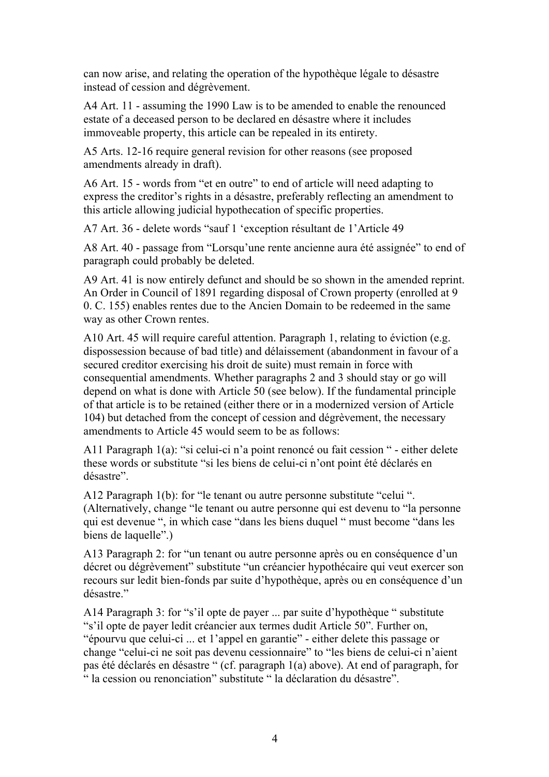can now arise, and relating the operation of the hypothèque légale to désastre instead of cession and dégrèvement.

A4 Art. 11 - assuming the 1990 Law is to be amended to enable the renounced estate of a deceased person to be declared en désastre where it includes immoveable property, this article can be repealed in its entirety.

A5 Arts. 12-16 require general revision for other reasons (see proposed amendments already in draft).

A6 Art. 15 - words from "et en outre" to end of article will need adapting to express the creditor's rights in a désastre, preferably reflecting an amendment to this article allowing judicial hypothecation of specific properties.

A7 Art. 36 - delete words "sauf 1 'exception résultant de 1'Article 49

A8 Art. 40 - passage from "Lorsqu'une rente ancienne aura été assignée" to end of paragraph could probably be deleted.

A9 Art. 41 is now entirely defunct and should be so shown in the amended reprint. An Order in Council of 1891 regarding disposal of Crown property (enrolled at 9 0. C. 155) enables rentes due to the Ancien Domain to be redeemed in the same way as other Crown rentes.

A10 Art. 45 will require careful attention. Paragraph 1, relating to éviction (e.g. dispossession because of bad title) and délaissement (abandonment in favour of a secured creditor exercising his droit de suite) must remain in force with consequential amendments. Whether paragraphs 2 and 3 should stay or go will depend on what is done with Article 50 (see below). If the fundamental principle of that article is to be retained (either there or in a modernized version of Article 104) but detached from the concept of cession and dégrèvement, the necessary amendments to Article 45 would seem to be as follows:

A11 Paragraph 1(a): "si celui-ci n'a point renoncé ou fait cession " - either delete these words or substitute "si les biens de celui-ci n'ont point été déclarés en désastre".

A12 Paragraph 1(b): for "le tenant ou autre personne substitute "celui ". (Alternatively, change "le tenant ou autre personne qui est devenu to "la personne qui est devenue ", in which case "dans les biens duquel " must become "dans les biens de laquelle".)

A13 Paragraph 2: for "un tenant ou autre personne après ou en conséquence d'un décret ou dégrèvement" substitute "un créancier hypothécaire qui veut exercer son recours sur ledit bien-fonds par suite d'hypothèque, après ou en conséquence d'un désastre."

A14 Paragraph 3: for "s'il opte de payer ... par suite d'hypothèque " substitute "s'il opte de payer ledit créancier aux termes dudit Article 50". Further on, "épourvu que celui-ci ... et 1'appel en garantie" - either delete this passage or change "celui-ci ne soit pas devenu cessionnaire" to "les biens de celui-ci n'aient pas été déclarés en désastre " (cf. paragraph 1(a) above). At end of paragraph, for " la cession ou renonciation" substitute " la déclaration du désastre".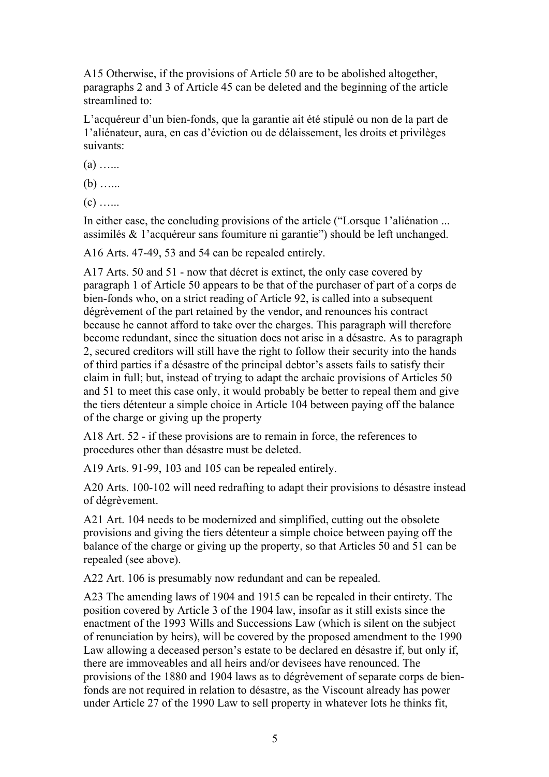A15 Otherwise, if the provisions of Article 50 are to be abolished altogether, paragraphs 2 and 3 of Article 45 can be deleted and the beginning of the article streamlined to:

L'acquéreur d'un bien-fonds, que la garantie ait été stipulé ou non de la part de 1'aliénateur, aura, en cas d'éviction ou de délaissement, les droits et privilèges suivants:

 $(a)$  …

 $(b)$  …

 $(c)$  …

In either case, the concluding provisions of the article ("Lorsque 1'aliénation ... assimilés & 1'acquéreur sans foumiture ni garantie") should be left unchanged.

A16 Arts. 47-49, 53 and 54 can be repealed entirely.

A17 Arts. 50 and 51 - now that décret is extinct, the only case covered by paragraph 1 of Article 50 appears to be that of the purchaser of part of a corps de bien-fonds who, on a strict reading of Article 92, is called into a subsequent dégrèvement of the part retained by the vendor, and renounces his contract because he cannot afford to take over the charges. This paragraph will therefore become redundant, since the situation does not arise in a désastre. As to paragraph 2, secured creditors will still have the right to follow their security into the hands of third parties if a désastre of the principal debtor's assets fails to satisfy their claim in full; but, instead of trying to adapt the archaic provisions of Articles 50 and 51 to meet this case only, it would probably be better to repeal them and give the tiers détenteur a simple choice in Article 104 between paying off the balance of the charge or giving up the property

A18 Art. 52 - if these provisions are to remain in force, the references to procedures other than désastre must be deleted.

A19 Arts. 91-99, 103 and 105 can be repealed entirely.

A20 Arts. 100-102 will need redrafting to adapt their provisions to désastre instead of dégrèvement.

A21 Art. 104 needs to be modernized and simplified, cutting out the obsolete provisions and giving the tiers détenteur a simple choice between paying off the balance of the charge or giving up the property, so that Articles 50 and 51 can be repealed (see above).

A22 Art. 106 is presumably now redundant and can be repealed.

A23 The amending laws of 1904 and 1915 can be repealed in their entirety. The position covered by Article 3 of the 1904 law, insofar as it still exists since the enactment of the 1993 Wills and Successions Law (which is silent on the subject of renunciation by heirs), will be covered by the proposed amendment to the 1990 Law allowing a deceased person's estate to be declared en désastre if, but only if, there are immoveables and all heirs and/or devisees have renounced. The provisions of the 1880 and 1904 laws as to dégrèvement of separate corps de bienfonds are not required in relation to désastre, as the Viscount already has power under Article 27 of the 1990 Law to sell property in whatever lots he thinks fit,